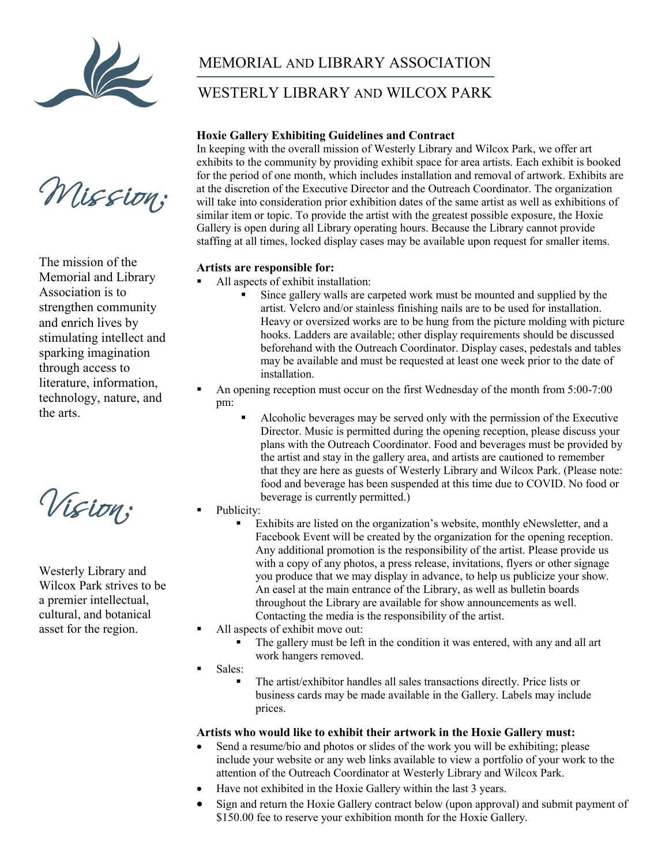

Mission:

The mission of the Memorial and Library Association is to strengthen community and enrich lives by stimulating intellect and sparking imagination through access to literature, information, technology, nature, and the arts.

Vision:

Westerly Library and Wilcox Park strives to be a premier intellectual, cultural, and botanical asset for the region.

## MEMORIAL AND LIBRARY ASSOCIATION

### WESTERLY LIBRARY AND WILCOX PARK

#### **Hoxie Gallery Exhibiting Guidelines and Contract**

In keeping with the overall mission of Westerly Library and Wilcox Park, we offer art exhibits to the community by providing exhibit space for area artists. Each exhibit is booked for the period of one month, which includes installation and removal of artwork. Exhibits are at the discretion of the Executive Director and the Outreach Coordinator. The organization will take into consideration prior exhibition dates of the same artist as well as exhibitions of similar item or topic. To provide the artist with the greatest possible exposure, the Hoxie Gallery is open during all Library operating hours. Because the Library cannot provide staffing at all times, locked display cases may be available upon request for smaller items.

#### **Artists are responsible for:**

- All aspects of exhibit installation:
	- Since gallery walls are carpeted work must be mounted and supplied by the artist. Velcro and/or stainless finishing nails are to be used for installation. Heavy or oversized works are to be hung from the picture molding with picture hooks. Ladders are available; other display requirements should be discussed beforehand with the Outreach Coordinator. Display cases, pedestals and tables may be available and must be requested at least one week prior to the date of installation.
- An opening reception must occur on the first Wednesday of the month from 5:00-7:00 pm:
	- Alcoholic beverages may be served only with the permission of the Executive Director. Music is permitted during the opening reception, please discuss your plans with the Outreach Coordinator. Food and beverages must be provided by the artist and stay in the gallery area, and artists are cautioned to remember that they are here as guests of Westerly Library and Wilcox Park. (Please note: food and beverage has been suspended at this time due to COVID. No food or beverage is currently permitted.)
- Publicity:
	- Exhibits are listed on the organization's website, monthly eNewsletter, and a Facebook Event will be created by the organization for the opening reception. Any additional promotion is the responsibility of the artist. Please provide us with a copy of any photos, a press release, invitations, flyers or other signage you produce that we may display in advance, to help us publicize your show. An easel at the main entrance of the Library, as well as bulletin boards throughout the Library are available for show announcements as well. Contacting the media is the responsibility of the artist.
- All aspects of exhibit move out:
	- The gallery must be left in the condition it was entered, with any and all art work hangers removed.

Sales:

 The artist/exhibitor handles all sales transactions directly. Price lists or business cards may be made available in the Gallery. Labels may include prices.

#### **Artists who would like to exhibit their artwork in the Hoxie Gallery must:**

- Send a resume/bio and photos or slides of the work you will be exhibiting; please include your website or any web links available to view a portfolio of your work to the attention of the Outreach Coordinator at Westerly Library and Wilcox Park.
- Have not exhibited in the Hoxie Gallery within the last 3 years.
- Sign and return the Hoxie Gallery contract below (upon approval) and submit payment of \$150.00 fee to reserve your exhibition month for the Hoxie Gallery.